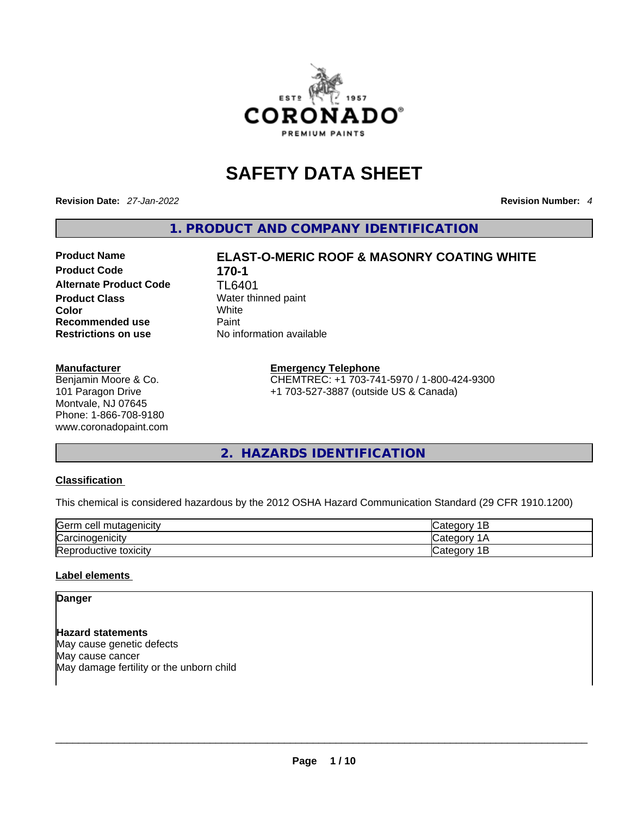

# **SAFETY DATA SHEET**

**Revision Date:** *27-Jan-2022* **Revision Number:** *4*

**1. PRODUCT AND COMPANY IDENTIFICATION** 

# **Product Code 170-1 Alternate Product Code** TL6401 **Product Class Water thinned paint Color** White **Recommended use** Paint<br> **Restrictions on use** No inf

#### **Manufacturer**

Benjamin Moore & Co. 101 Paragon Drive Montvale, NJ 07645 Phone: 1-866-708-9180 www.coronadopaint.com

# **Product Name ELAST-O-MERIC ROOF & MASONRY COATING WHITE**

**No information available** 

#### **Emergency Telephone**

CHEMTREC: +1 703-741-5970 / 1-800-424-9300 +1 703-527-3887 (outside US & Canada)

**2. HAZARDS IDENTIFICATION** 

#### **Classification**

This chemical is considered hazardous by the 2012 OSHA Hazard Communication Standard (29 CFR 1910.1200)

| Germ<br>i mutadenicitv<br>cell   | Categor<br>.<br>╺   |
|----------------------------------|---------------------|
| $\sim$<br><b>Carcinogenicity</b> | 'dtegorب Categor    |
| Reproductive<br>toxicity         | 4 D<br>Categor<br>- |

#### **Label elements**

#### **Danger**

**Hazard statements** May cause genetic defects May cause cancer May damage fertility or the unborn child  $\blacksquare$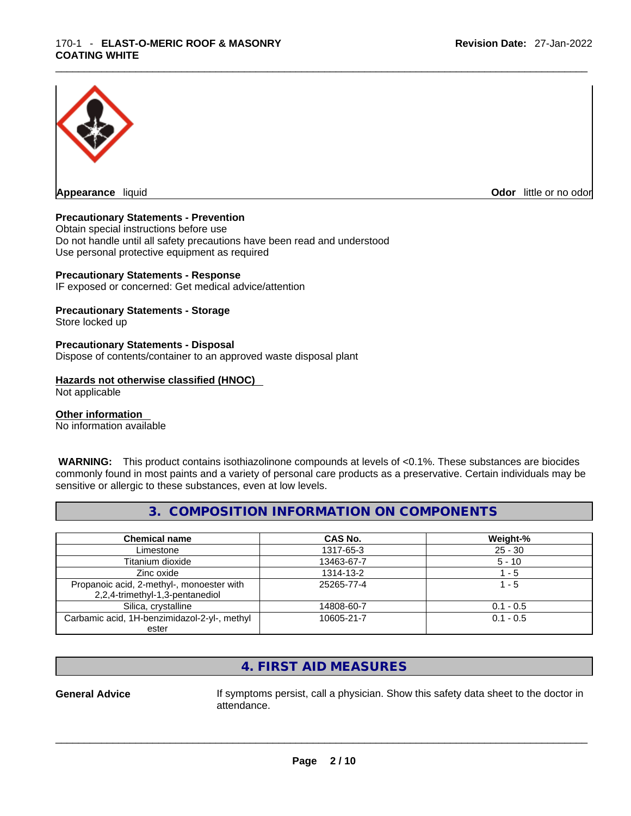

**Odor** little or no odor

#### **Precautionary Statements - Prevention**

Obtain special instructions before use Do not handle until all safety precautions have been read and understood Use personal protective equipment as required

#### **Precautionary Statements - Response**

IF exposed or concerned: Get medical advice/attention

#### **Precautionary Statements - Storage**

Store locked up

#### **Precautionary Statements - Disposal**

Dispose of contents/container to an approved waste disposal plant

#### **Hazards not otherwise classified (HNOC)**

Not applicable

#### **Other information**

No information available

 **WARNING:** This product contains isothiazolinone compounds at levels of <0.1%. These substances are biocides commonly found in most paints and a variety of personal care products as a preservative. Certain individuals may be sensitive or allergic to these substances, even at low levels.

#### **3. COMPOSITION INFORMATION ON COMPONENTS**

| <b>Chemical name</b>                                                         | CAS No.    | Weight-%    |
|------------------------------------------------------------------------------|------------|-------------|
| Limestone                                                                    | 1317-65-3  | $25 - 30$   |
| Titanium dioxide                                                             | 13463-67-7 | $5 - 10$    |
| Zinc oxide                                                                   | 1314-13-2  | $1 - 5$     |
| Propanoic acid, 2-methyl-, monoester with<br>2,2,4-trimethyl-1,3-pentanediol | 25265-77-4 | 1 - 5       |
| Silica, crystalline                                                          | 14808-60-7 | $0.1 - 0.5$ |
| Carbamic acid, 1H-benzimidazol-2-yl-, methyl<br>ester                        | 10605-21-7 | $0.1 - 0.5$ |

## **4. FIRST AID MEASURES**

**General Advice** If symptoms persist, calla physician. Show this safety data sheet to the doctor in attendance.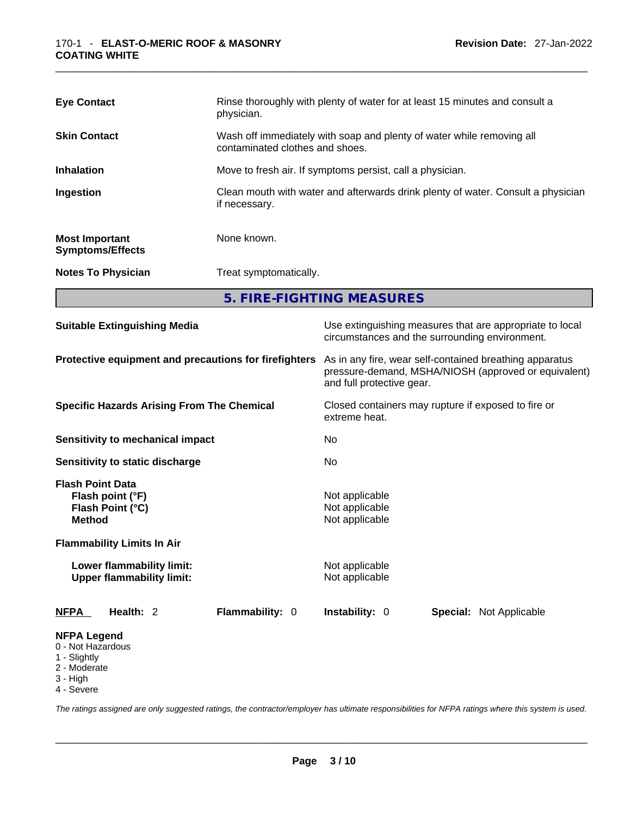| <b>Eye Contact</b>                               | Rinse thoroughly with plenty of water for at least 15 minutes and consult a<br>physician.                |
|--------------------------------------------------|----------------------------------------------------------------------------------------------------------|
| <b>Skin Contact</b>                              | Wash off immediately with soap and plenty of water while removing all<br>contaminated clothes and shoes. |
| <b>Inhalation</b>                                | Move to fresh air. If symptoms persist, call a physician.                                                |
| Ingestion                                        | Clean mouth with water and afterwards drink plenty of water. Consult a physician<br>if necessary.        |
| <b>Most Important</b><br><b>Symptoms/Effects</b> | None known.                                                                                              |
| <b>Notes To Physician</b>                        | Treat symptomatically.                                                                                   |

**5. FIRE-FIGHTING MEASURES** 

| <b>Suitable Extinguishing Media</b>                                                                                   | Use extinguishing measures that are appropriate to local<br>circumstances and the surrounding environment.<br>As in any fire, wear self-contained breathing apparatus<br>pressure-demand, MSHA/NIOSH (approved or equivalent)<br>and full protective gear. |  |  |
|-----------------------------------------------------------------------------------------------------------------------|------------------------------------------------------------------------------------------------------------------------------------------------------------------------------------------------------------------------------------------------------------|--|--|
| Protective equipment and precautions for firefighters                                                                 |                                                                                                                                                                                                                                                            |  |  |
| <b>Specific Hazards Arising From The Chemical</b>                                                                     | Closed containers may rupture if exposed to fire or<br>extreme heat.                                                                                                                                                                                       |  |  |
| Sensitivity to mechanical impact                                                                                      | No.                                                                                                                                                                                                                                                        |  |  |
| Sensitivity to static discharge                                                                                       | No                                                                                                                                                                                                                                                         |  |  |
| <b>Flash Point Data</b><br>Flash point (°F)<br>Flash Point (°C)<br><b>Method</b><br><b>Flammability Limits In Air</b> | Not applicable<br>Not applicable<br>Not applicable                                                                                                                                                                                                         |  |  |
| Lower flammability limit:<br><b>Upper flammability limit:</b>                                                         | Not applicable<br>Not applicable                                                                                                                                                                                                                           |  |  |
| Health: 2<br>Flammability: 0<br><b>NFPA</b>                                                                           | <b>Instability: 0</b><br><b>Special: Not Applicable</b>                                                                                                                                                                                                    |  |  |
| <b>NFPA Legend</b><br>0 - Not Hazardous<br>1 - Slightly<br>2 - Moderate<br>3 - High<br>4 - Severe                     |                                                                                                                                                                                                                                                            |  |  |

*The ratings assigned are only suggested ratings, the contractor/employer has ultimate responsibilities for NFPA ratings where this system is used.*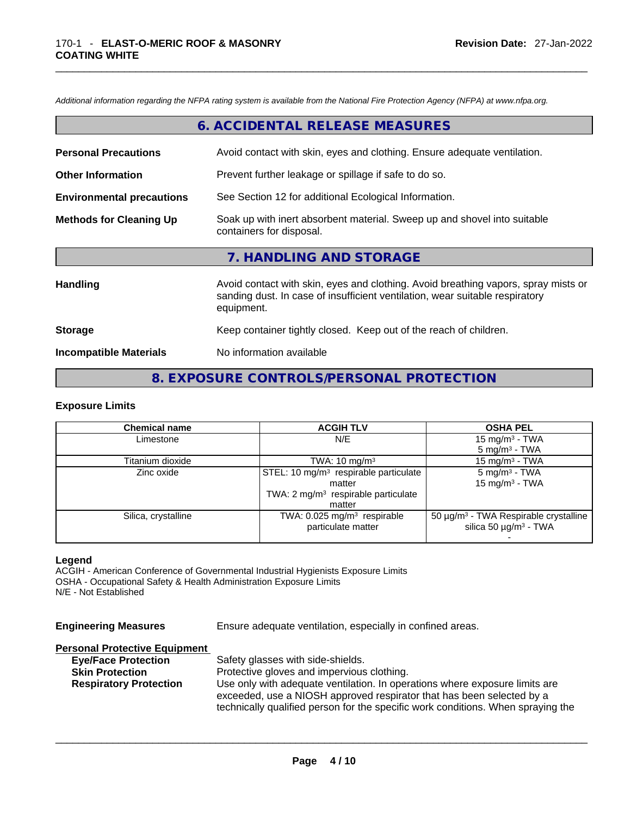*Additional information regarding the NFPA rating system is available from the National Fire Protection Agency (NFPA) at www.nfpa.org.* 

|                                  | 6. ACCIDENTAL RELEASE MEASURES                                                                                                                                                   |
|----------------------------------|----------------------------------------------------------------------------------------------------------------------------------------------------------------------------------|
| <b>Personal Precautions</b>      | Avoid contact with skin, eyes and clothing. Ensure adequate ventilation.                                                                                                         |
| <b>Other Information</b>         | Prevent further leakage or spillage if safe to do so.                                                                                                                            |
| <b>Environmental precautions</b> | See Section 12 for additional Ecological Information.                                                                                                                            |
| <b>Methods for Cleaning Up</b>   | Soak up with inert absorbent material. Sweep up and shovel into suitable<br>containers for disposal.                                                                             |
|                                  | 7. HANDLING AND STORAGE                                                                                                                                                          |
| Handling                         | Avoid contact with skin, eyes and clothing. Avoid breathing vapors, spray mists or<br>sanding dust. In case of insufficient ventilation, wear suitable respiratory<br>equipment. |
| <b>Storage</b>                   | Keep container tightly closed. Keep out of the reach of children.                                                                                                                |
| <b>Incompatible Materials</b>    | No information available                                                                                                                                                         |

## **8. EXPOSURE CONTROLS/PERSONAL PROTECTION**

#### **Exposure Limits**

| <b>Chemical name</b> | <b>ACGIH TLV</b>                                  | <b>OSHA PEL</b>                                        |
|----------------------|---------------------------------------------------|--------------------------------------------------------|
| Limestone            | N/E                                               | 15 mg/m $3$ - TWA                                      |
|                      |                                                   | $5 \text{ mg/m}^3$ - TWA                               |
| Titanium dioxide     | TWA: $10 \text{ mg/m}^3$                          | 15 mg/m $3$ - TWA                                      |
| Zinc oxide           | STEL: 10 mg/m <sup>3</sup> respirable particulate | $5 \text{ mg/m}^3$ - TWA                               |
|                      | matter                                            | 15 mg/m $3$ - TWA                                      |
|                      | TWA: 2 mg/m <sup>3</sup> respirable particulate   |                                                        |
|                      | matter                                            |                                                        |
| Silica, crystalline  | TWA: 0.025 mg/m <sup>3</sup> respirable           | 50 $\mu$ g/m <sup>3</sup> - TWA Respirable crystalline |
|                      | particulate matter                                | silica 50 $\mu$ g/m <sup>3</sup> - TWA                 |
|                      |                                                   |                                                        |

#### **Legend**

ACGIH - American Conference of Governmental Industrial Hygienists Exposure Limits OSHA - Occupational Safety & Health Administration Exposure Limits N/E - Not Established

**Engineering Measures** Ensure adequate ventilation, especially in confined areas.

#### **Personal Protective Equipment**

| <b>Eye/Face Protection</b>    | Safety glasses with side-shields.                                                |
|-------------------------------|----------------------------------------------------------------------------------|
| <b>Skin Protection</b>        | Protective gloves and impervious clothing.                                       |
| <b>Respiratory Protection</b> | Use only with adequate ventilation. In operations where exposure limits are      |
|                               | exceeded, use a NIOSH approved respirator that has been selected by a            |
|                               | technically qualified person for the specific work conditions. When spraying the |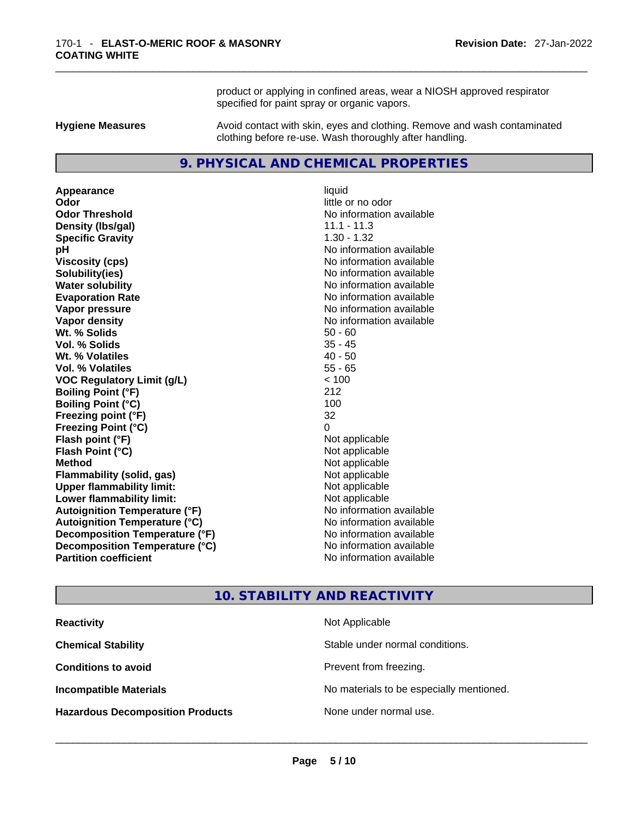product or applying in confined areas, wear a NIOSH approved respirator specified for paint spray or organic vapors.

**Hygiene Measures** Avoid contact with skin, eyes and clothing. Remove and wash contaminated clothing before re-use. Wash thoroughly after handling.

#### **9. PHYSICAL AND CHEMICAL PROPERTIES**

**Appearance** liquid **Odor**<br> **Odor Threshold**<br> **Odor Threshold**<br> **CODOR**<br> **CODOR**<br> **CODOR**<br> **CODOR**<br> **CODOR**<br> **CODOR**<br> **CODOR**<br> **CODOR**<br> **CODOR**<br> **CODOR Density (lbs/gal)** 11.1 - 11.3 **Specific Gravity** 1.30 - 1.32 **pH bH 1 Viscosity (cps) No information available No information available Solubility(ies)** No information available **Water solubility No information available No information available Evaporation Rate Note 2008 No information available Vapor pressure No information available Vapor density No information available No information available Wt. % Solids** 50 - 60 **Vol. % Solids** 35 - 45 **Wt. % Volatiles** 40 - 50 **Vol. % Volatiles** 55 - 65 **VOC Regulatory Limit (g/L)** < 100 **Boiling Point (°F)** 212 **Boiling Point (°C)** 100 **Freezing point (°F)** 32 **Freezing Point (°C)** 0 **Flash point (°F)** Not applicable **Flash Point (°C)** Not applicable **Method** Not applicable **Flammability (solid, gas)** Not applicable **Upper flammability limit:**<br> **Lower flammability limit:**<br>
Not applicable<br>
Not applicable **Lower flammability limit:**<br> **Autoignition Temperature (°F)**<br>
Mo information available **Autoignition Temperature (°F) Autoignition Temperature (°C)** No information available **Decomposition Temperature (°F)**<br> **Decomposition Temperature (°C)**<br>
No information available **Decomposition Temperature (°C) Partition coefficient** No information available

**No information available** 

#### **10. STABILITY AND REACTIVITY**

| <b>Reactivity</b>                       | Not Applicable                           |
|-----------------------------------------|------------------------------------------|
| <b>Chemical Stability</b>               | Stable under normal conditions.          |
| <b>Conditions to avoid</b>              | Prevent from freezing.                   |
| <b>Incompatible Materials</b>           | No materials to be especially mentioned. |
| <b>Hazardous Decomposition Products</b> | None under normal use.                   |
|                                         |                                          |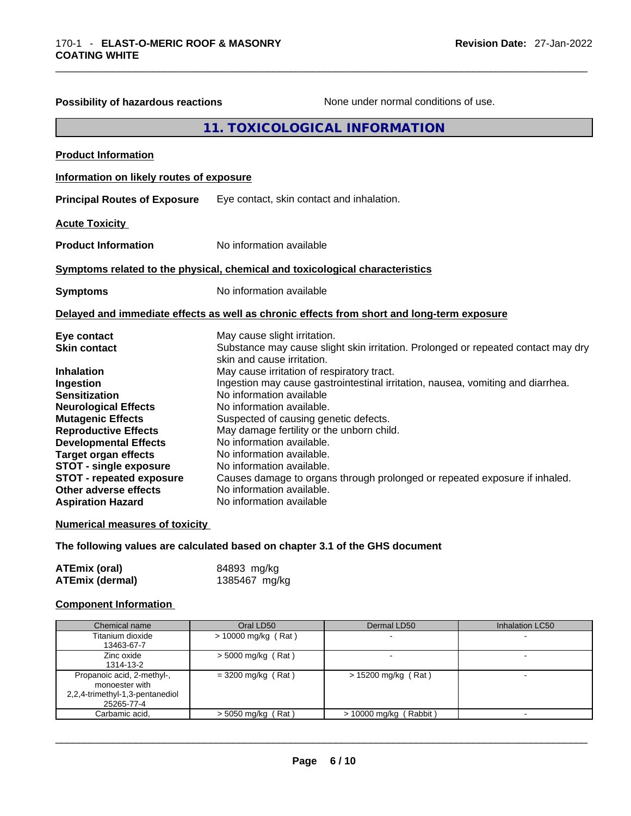| 11. TOXICOLOGICAL INFORMATION<br><b>Product Information</b><br>Information on likely routes of exposure                                |  |
|----------------------------------------------------------------------------------------------------------------------------------------|--|
|                                                                                                                                        |  |
|                                                                                                                                        |  |
|                                                                                                                                        |  |
| <b>Principal Routes of Exposure</b><br>Eye contact, skin contact and inhalation.                                                       |  |
| <b>Acute Toxicity</b>                                                                                                                  |  |
| No information available<br><b>Product Information</b>                                                                                 |  |
| Symptoms related to the physical, chemical and toxicological characteristics                                                           |  |
| No information available<br><b>Symptoms</b>                                                                                            |  |
| Delayed and immediate effects as well as chronic effects from short and long-term exposure                                             |  |
| May cause slight irritation.<br>Eye contact                                                                                            |  |
| <b>Skin contact</b><br>Substance may cause slight skin irritation. Prolonged or repeated contact may dry<br>skin and cause irritation. |  |
| May cause irritation of respiratory tract.<br><b>Inhalation</b>                                                                        |  |
| Ingestion may cause gastrointestinal irritation, nausea, vomiting and diarrhea.<br>Ingestion                                           |  |
| No information available<br><b>Sensitization</b>                                                                                       |  |
| No information available.<br><b>Neurological Effects</b>                                                                               |  |
| <b>Mutagenic Effects</b><br>Suspected of causing genetic defects.                                                                      |  |
| May damage fertility or the unborn child.<br><b>Reproductive Effects</b>                                                               |  |
| No information available.<br><b>Developmental Effects</b>                                                                              |  |
| <b>Target organ effects</b><br>No information available.                                                                               |  |
| <b>STOT - single exposure</b><br>No information available.                                                                             |  |
| <b>STOT - repeated exposure</b><br>Causes damage to organs through prolonged or repeated exposure if inhaled.                          |  |
| No information available.<br>Other adverse effects                                                                                     |  |
| No information available<br><b>Aspiration Hazard</b>                                                                                   |  |
| <b>Numerical measures of toxicity</b>                                                                                                  |  |

**The following values are calculated based on chapter 3.1 of the GHS document**

| ATEmix (oral)          | 84893 mg/kg   |
|------------------------|---------------|
| <b>ATEmix (dermal)</b> | 1385467 mg/kg |

#### **Component Information**

| Chemical name                                | Oral LD50             | Dermal LD50            | <b>Inhalation LC50</b>   |
|----------------------------------------------|-----------------------|------------------------|--------------------------|
| Titanium dioxide                             | $> 10000$ mg/kg (Rat) |                        |                          |
| 13463-67-7                                   |                       |                        |                          |
| Zinc oxide                                   | $>$ 5000 mg/kg (Rat)  |                        | $\overline{\phantom{0}}$ |
| 1314-13-2                                    |                       |                        |                          |
| Propanoic acid, 2-methyl-,<br>monoester with | $=$ 3200 mg/kg (Rat)  | > 15200 mg/kg (Rat)    |                          |
| 2,2,4-trimethyl-1,3-pentanediol              |                       |                        |                          |
| 25265-77-4                                   |                       |                        |                          |
| Carbamic acid.                               | $>$ 5050 mg/kg (Rat)  | > 10000 mg/kg (Rabbit) |                          |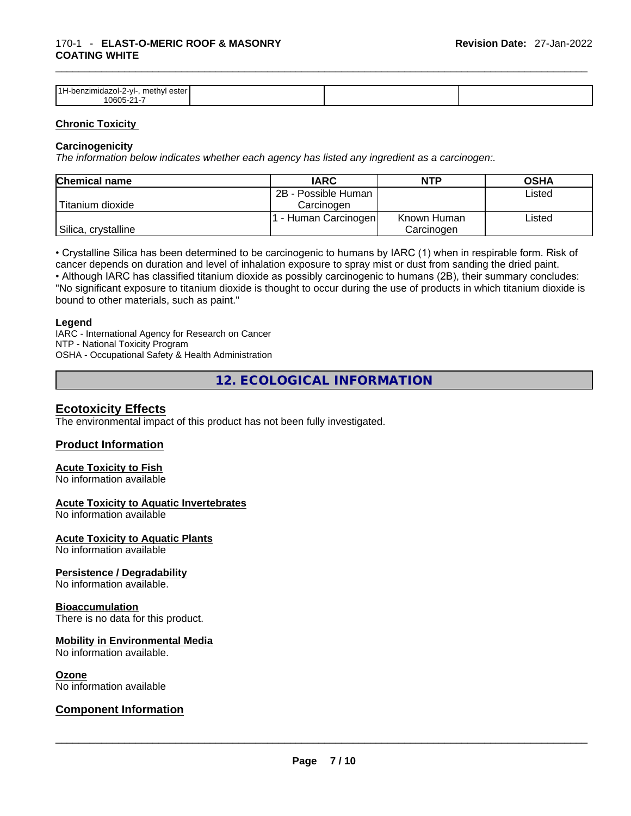#### \_\_\_\_\_\_\_\_\_\_\_\_\_\_\_\_\_\_\_\_\_\_\_\_\_\_\_\_\_\_\_\_\_\_\_\_\_\_\_\_\_\_\_\_\_\_\_\_\_\_\_\_\_\_\_\_\_\_\_\_\_\_\_\_\_\_\_\_\_\_\_\_\_\_\_\_\_\_\_\_\_\_\_\_\_\_\_\_\_\_\_\_\_ 170-1 - **ELAST-O-MERIC ROOF & MASONRY COATING WHITE**

| 14 LJ<br>methyl ester<br>dazol 2-vl-.<br>-ner<br>าzımı<br>1060 <sup>2</sup> |  |  |
|-----------------------------------------------------------------------------|--|--|

#### **Chronic Toxicity**

#### **Carcinogenicity**

*The information below indicates whether each agency has listed any ingredient as a carcinogen:.* 

| <b>Chemical name</b> | <b>IARC</b>          | <b>NTP</b>  | <b>OSHA</b> |
|----------------------|----------------------|-------------|-------------|
|                      | 2B - Possible Human  |             | Listed      |
| Titanium dioxide     | Carcinogen           |             |             |
|                      | 1 - Human Carcinogen | Known Human | Listed      |
| Silica, crystalline  |                      | Carcinogen  |             |

• Crystalline Silica has been determined to be carcinogenic to humans by IARC (1) when in respirable form. Risk of cancer depends on duration and level of inhalation exposure to spray mist or dust from sanding the dried paint.

• Although IARC has classified titanium dioxide as possibly carcinogenic to humans (2B), their summary concludes: "No significant exposure to titanium dioxide is thought to occur during the use of products in which titanium dioxide is bound to other materials, such as paint."

#### **Legend**

IARC - International Agency for Research on Cancer NTP - National Toxicity Program OSHA - Occupational Safety & Health Administration

**12. ECOLOGICAL INFORMATION** 

#### **Ecotoxicity Effects**

The environmental impact of this product has not been fully investigated.

#### **Product Information**

#### **Acute Toxicity to Fish**

No information available

#### **Acute Toxicity to Aquatic Invertebrates**

No information available

**Acute Toxicity to Aquatic Plants**

No information available

#### **Persistence / Degradability**

No information available.

#### **Bioaccumulation**

There is no data for this product.

#### **Mobility in Environmental Media**

No information available.

**Ozone**<br>No information available

# No information available \_\_\_\_\_\_\_\_\_\_\_\_\_\_\_\_\_\_\_\_\_\_\_\_\_\_\_\_\_\_\_\_\_\_\_\_\_\_\_\_\_\_\_\_\_\_\_\_\_\_\_\_\_\_\_\_\_\_\_\_\_\_\_\_\_\_\_\_\_\_\_\_\_\_\_\_\_\_\_\_\_\_\_\_\_\_\_\_\_\_\_\_\_ **Component Information**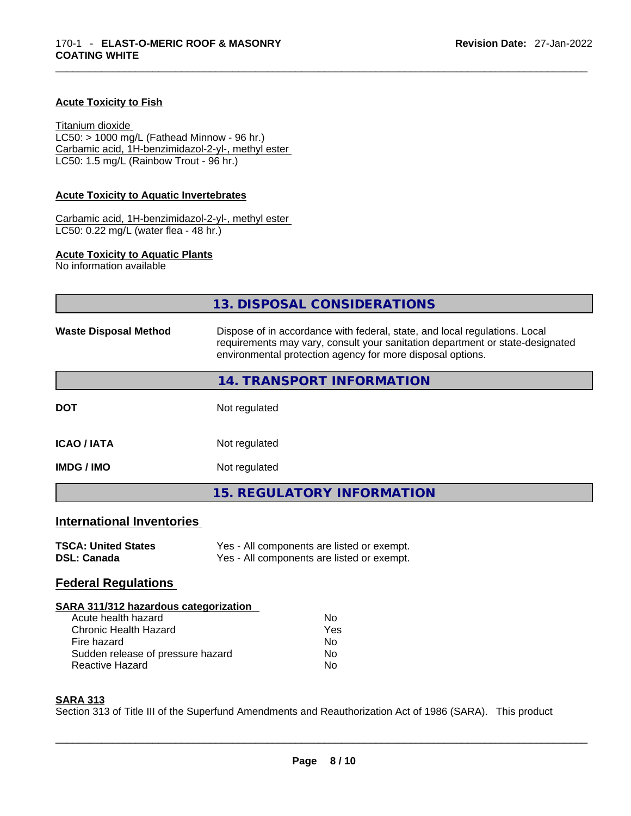#### **Acute Toxicity to Fish**

Titanium dioxide  $LC50: > 1000$  mg/L (Fathead Minnow - 96 hr.) Carbamic acid, 1H-benzimidazol-2-yl-, methyl ester LC50: 1.5 mg/L (Rainbow Trout - 96 hr.)

#### **Acute Toxicity to Aquatic Invertebrates**

Carbamic acid, 1H-benzimidazol-2-yl-, methyl ester LC50: 0.22 mg/L (water flea - 48 hr.)

#### **Acute Toxicity to Aquatic Plants**

No information available

|                                                                                                                                                                            | 13. DISPOSAL CONSIDERATIONS                                                                                                                                                                                               |  |  |
|----------------------------------------------------------------------------------------------------------------------------------------------------------------------------|---------------------------------------------------------------------------------------------------------------------------------------------------------------------------------------------------------------------------|--|--|
| <b>Waste Disposal Method</b>                                                                                                                                               | Dispose of in accordance with federal, state, and local regulations. Local<br>requirements may vary, consult your sanitation department or state-designated<br>environmental protection agency for more disposal options. |  |  |
|                                                                                                                                                                            | 14. TRANSPORT INFORMATION                                                                                                                                                                                                 |  |  |
| <b>DOT</b>                                                                                                                                                                 | Not regulated                                                                                                                                                                                                             |  |  |
| <b>ICAO / IATA</b>                                                                                                                                                         | Not regulated                                                                                                                                                                                                             |  |  |
| <b>IMDG / IMO</b>                                                                                                                                                          | Not regulated                                                                                                                                                                                                             |  |  |
|                                                                                                                                                                            | <b>15. REGULATORY INFORMATION</b>                                                                                                                                                                                         |  |  |
| <b>International Inventories</b>                                                                                                                                           |                                                                                                                                                                                                                           |  |  |
| <b>TSCA: United States</b><br><b>DSL: Canada</b>                                                                                                                           | Yes - All components are listed or exempt.<br>Yes - All components are listed or exempt.                                                                                                                                  |  |  |
| <b>Federal Regulations</b>                                                                                                                                                 |                                                                                                                                                                                                                           |  |  |
| SARA 311/312 hazardous categorization<br>Acute health hazard<br><b>Chronic Health Hazard</b><br>Fire hazard<br>Sudden release of pressure hazard<br><b>Reactive Hazard</b> | <b>No</b><br>Yes<br>No.<br><b>No</b><br>No                                                                                                                                                                                |  |  |

#### **SARA 313**

Section 313 of Title III of the Superfund Amendments and Reauthorization Act of 1986 (SARA). This product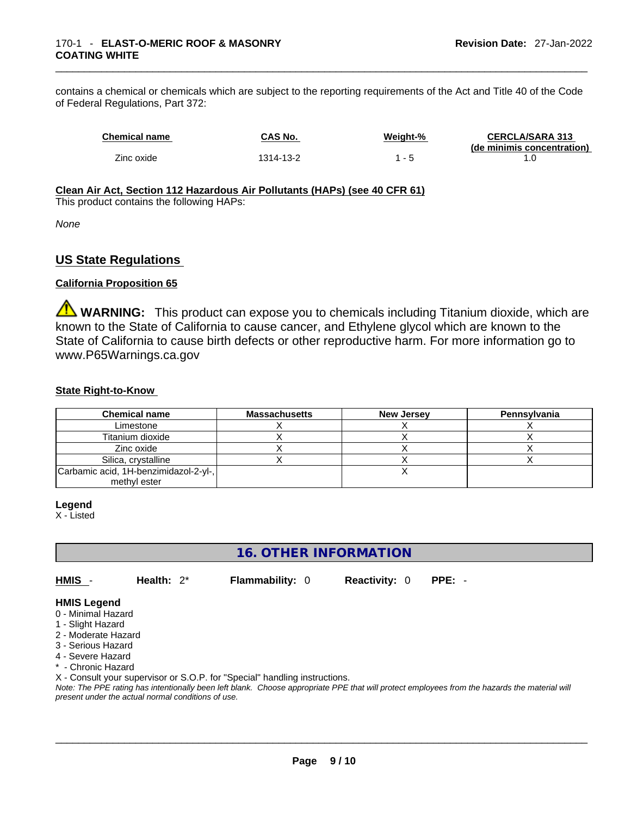contains a chemical or chemicals which are subject to the reporting requirements of the Act and Title 40 of the Code of Federal Regulations, Part 372:

| <b>Chemical name</b> | <b>CAS No.</b> | Weight-% | <b>CERCLA/SARA 313</b>     |
|----------------------|----------------|----------|----------------------------|
|                      |                |          | (de minimis concentration) |
| Zinc oxide           | 1314-13-2      |          |                            |

#### **Clean Air Act,Section 112 Hazardous Air Pollutants (HAPs) (see 40 CFR 61)**

This product contains the following HAPs:

*None*

#### **US State Regulations**

#### **California Proposition 65**

**WARNING:** This product can expose you to chemicals including Titanium dioxide, which are known to the State of California to cause cancer, and Ethylene glycol which are known to the State of California to cause birth defects or other reproductive harm. For more information go to www.P65Warnings.ca.gov

#### **State Right-to-Know**

| <b>Chemical name</b>                  | <b>Massachusetts</b> | <b>New Jersey</b> | Pennsylvania |
|---------------------------------------|----------------------|-------------------|--------------|
| Limestone                             |                      |                   |              |
| Titanium dioxide                      |                      |                   |              |
| Zinc oxide                            |                      |                   |              |
| Silica, crystalline                   |                      |                   |              |
| Carbamic acid, 1H-benzimidazol-2-yl-, |                      |                   |              |
| methyl ester                          |                      |                   |              |

#### **Legend**

X - Listed

## **16. OTHER INFORMATION**

**HMIS** - **Health:** 2\* **Flammability:** 0 **Reactivity:** 0 **PPE:** -

#### **HMIS Legend**

- 0 Minimal Hazard
- 1 Slight Hazard
- 2 Moderate Hazard
- 3 Serious Hazard
- 4 Severe Hazard
- \* Chronic Hazard

X - Consult your supervisor or S.O.P. for "Special" handling instructions.

Note: The PPE rating has intentionally been left blank. Choose appropriate PPE that will protect employees from the hazards the material will *present under the actual normal conditions of use.*